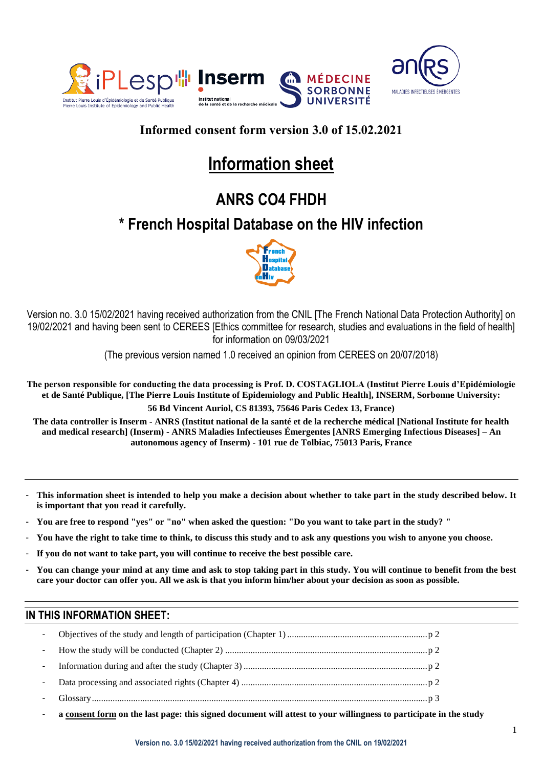



# **Informed consent form version 3.0 of 15.02.2021**

# **Information sheet**

# **ANRS CO4 FHDH**

# **\* French Hospital Database on the HIV infection**



Version no. 3.0 15/02/2021 having received authorization from the CNIL [The French National Data Protection Authority] on 19/02/2021 and having been sent to CEREES [Ethics committee for research, studies and evaluations in the field of health] for information on 09/03/2021

(The previous version named 1.0 received an opinion from CEREES on 20/07/2018)

**The person responsible for conducting the data processing is Prof. D. COSTAGLIOLA (Institut Pierre Louis d'Epidémiologie et de Santé Publique, [The Pierre Louis Institute of Epidemiology and Public Health], INSERM, Sorbonne University: 56 Bd Vincent Auriol, CS 81393, 75646 Paris Cedex 13, France)**

**The data controller is Inserm - ANRS (Institut national de la santé et de la recherche médical [National Institute for health and medical research] (Inserm) - ANRS Maladies Infectieuses Émergentes [ANRS Emerging Infectious Diseases] – An autonomous agency of Inserm) - 101 rue de Tolbiac, 75013 Paris, France**

- **This information sheet is intended to help you make a decision about whether to take part in the study described below. It is important that you read it carefully.**
- **You are free to respond "yes" or "no" when asked the question: "Do you want to take part in the study? "**
- **You have the right to take time to think, to discuss this study and to ask any questions you wish to anyone you choose.**
- **If you do not want to take part, you will continue to receive the best possible care.**
- **You can change your mind at any time and ask to stop taking part in this study. You will continue to benefit from the best care your doctor can offer you. All we ask is that you inform him/her about your decision as soon as possible.**

# **IN THIS INFORMATION SHEET:**

- **a consent form on the last page: this signed document will attest to your willingness to participate in the study**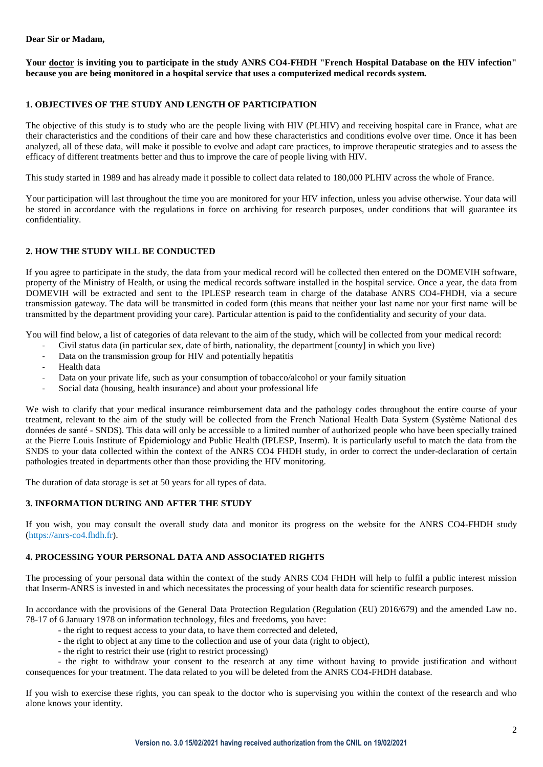### **Dear Sir or Madam,**

**Your doctor is inviting you to participate in the study ANRS CO4-FHDH "French Hospital Database on the HIV infection" because you are being monitored in a hospital service that uses a computerized medical records system.**

## **1. OBJECTIVES OF THE STUDY AND LENGTH OF PARTICIPATION**

The objective of this study is to study who are the people living with HIV (PLHIV) and receiving hospital care in France, what are their characteristics and the conditions of their care and how these characteristics and conditions evolve over time. Once it has been analyzed, all of these data, will make it possible to evolve and adapt care practices, to improve therapeutic strategies and to assess the efficacy of different treatments better and thus to improve the care of people living with HIV.

This study started in 1989 and has already made it possible to collect data related to 180,000 PLHIV across the whole of France.

Your participation will last throughout the time you are monitored for your HIV infection, unless you advise otherwise. Your data will be stored in accordance with the regulations in force on archiving for research purposes, under conditions that will guarantee its confidentiality.

### **2. HOW THE STUDY WILL BE CONDUCTED**

If you agree to participate in the study, the data from your medical record will be collected then entered on the DOMEVIH software, property of the Ministry of Health, or using the medical records software installed in the hospital service. Once a year, the data from DOMEVIH will be extracted and sent to the IPLESP research team in charge of the database ANRS CO4-FHDH, via a secure transmission gateway. The data will be transmitted in coded form (this means that neither your last name nor your first name will be transmitted by the department providing your care). Particular attention is paid to the confidentiality and security of your data.

You will find below, a list of categories of data relevant to the aim of the study, which will be collected from your medical record:

- Civil status data (in particular sex, date of birth, nationality, the department [county] in which you live)
- Data on the transmission group for HIV and potentially hepatitis
- Health data
- Data on your private life, such as your consumption of tobacco/alcohol or your family situation
- Social data (housing, health insurance) and about your professional life

We wish to clarify that your medical insurance reimbursement data and the pathology codes throughout the entire course of your treatment, relevant to the aim of the study will be collected from the French National Health Data System (Système National des données de santé - SNDS). This data will only be accessible to a limited number of authorized people who have been specially trained at the Pierre Louis Institute of Epidemiology and Public Health (IPLESP, Inserm). It is particularly useful to match the data from the SNDS to your data collected within the context of the ANRS CO4 FHDH study, in order to correct the under-declaration of certain pathologies treated in departments other than those providing the HIV monitoring.

The duration of data storage is set at 50 years for all types of data.

# **3. INFORMATION DURING AND AFTER THE STUDY**

If you wish, you may consult the overall study data and monitor its progress on the website for the ANRS CO4-FHDH study (https://anrs-co4.fhdh.fr).

### **4. PROCESSING YOUR PERSONAL DATA AND ASSOCIATED RIGHTS**

The processing of your personal data within the context of the study ANRS CO4 FHDH will help to fulfil a public interest mission that Inserm-ANRS is invested in and which necessitates the processing of your health data for scientific research purposes.

In accordance with the provisions of the General Data Protection Regulation (Regulation (EU) 2016/679) and the amended Law no. 78-17 of 6 January 1978 on information technology, files and freedoms, you have:

- the right to request access to your data, to have them corrected and deleted,
- the right to object at any time to the collection and use of your data (right to object),
- the right to restrict their use (right to restrict processing)

- the right to withdraw your consent to the research at any time without having to provide justification and without consequences for your treatment. The data related to you will be deleted from the ANRS CO4-FHDH database.

If you wish to exercise these rights, you can speak to the doctor who is supervising you within the context of the research and who alone knows your identity.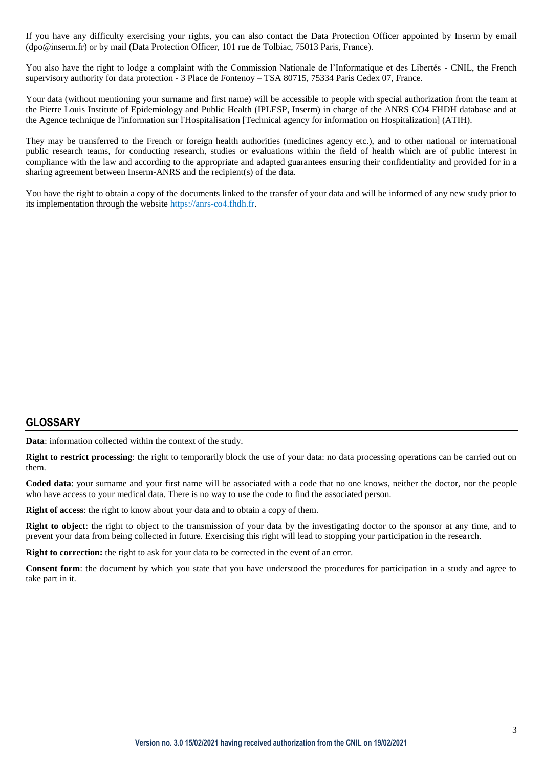If you have any difficulty exercising your rights, you can also contact the Data Protection Officer appointed by Inserm by email (dpo@inserm.fr) or by mail (Data Protection Officer, 101 rue de Tolbiac, 75013 Paris, France).

You also have the right to lodge a complaint with the Commission Nationale de l'Informatique et des Libertés - CNIL, the French supervisory authority for data protection - 3 Place de Fontenoy – TSA 80715, 75334 Paris Cedex 07, France.

Your data (without mentioning your surname and first name) will be accessible to people with special authorization from the team at the Pierre Louis Institute of Epidemiology and Public Health (IPLESP, Inserm) in charge of the ANRS CO4 FHDH database and at the Agence technique de l'information sur l'Hospitalisation [Technical agency for information on Hospitalization] (ATIH).

They may be transferred to the French or foreign health authorities (medicines agency etc.), and to other national or international public research teams, for conducting research, studies or evaluations within the field of health which are of public interest in compliance with the law and according to the appropriate and adapted guarantees ensuring their confidentiality and provided for in a sharing agreement between Inserm-ANRS and the recipient(s) of the data.

You have the right to obtain a copy of the documents linked to the transfer of your data and will be informed of any new study prior to its implementation through the website https://anrs-co4.fhdh.fr.

# **GLOSSARY**

**Data**: information collected within the context of the study.

**Right to restrict processing**: the right to temporarily block the use of your data: no data processing operations can be carried out on them.

**Coded data**: your surname and your first name will be associated with a code that no one knows, neither the doctor, nor the people who have access to your medical data. There is no way to use the code to find the associated person.

**Right of access**: the right to know about your data and to obtain a copy of them.

**Right to object**: the right to object to the transmission of your data by the investigating doctor to the sponsor at any time, and to prevent your data from being collected in future. Exercising this right will lead to stopping your participation in the research.

**Right to correction:** the right to ask for your data to be corrected in the event of an error.

**Consent form**: the document by which you state that you have understood the procedures for participation in a study and agree to take part in it.